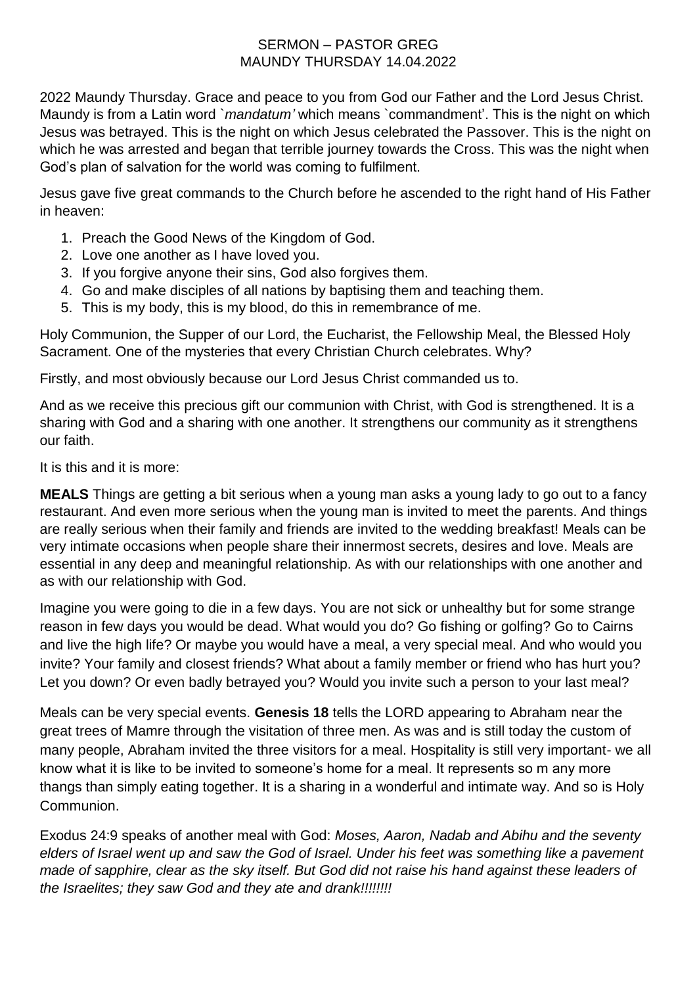## SERMON – PASTOR GREG MAUNDY THURSDAY 14.04.2022

2022 Maundy Thursday. Grace and peace to you from God our Father and the Lord Jesus Christ. Maundy is from a Latin word `*mandatum'* which means `commandment'. This is the night on which Jesus was betrayed. This is the night on which Jesus celebrated the Passover. This is the night on which he was arrested and began that terrible journey towards the Cross. This was the night when God's plan of salvation for the world was coming to fulfilment.

Jesus gave five great commands to the Church before he ascended to the right hand of His Father in heaven:

- 1. Preach the Good News of the Kingdom of God.
- 2. Love one another as I have loved you.
- 3. If you forgive anyone their sins, God also forgives them.
- 4. Go and make disciples of all nations by baptising them and teaching them.
- 5. This is my body, this is my blood, do this in remembrance of me.

Holy Communion, the Supper of our Lord, the Eucharist, the Fellowship Meal, the Blessed Holy Sacrament. One of the mysteries that every Christian Church celebrates. Why?

Firstly, and most obviously because our Lord Jesus Christ commanded us to.

And as we receive this precious gift our communion with Christ, with God is strengthened. It is a sharing with God and a sharing with one another. It strengthens our community as it strengthens our faith.

It is this and it is more:

**MEALS** Things are getting a bit serious when a young man asks a young lady to go out to a fancy restaurant. And even more serious when the young man is invited to meet the parents. And things are really serious when their family and friends are invited to the wedding breakfast! Meals can be very intimate occasions when people share their innermost secrets, desires and love. Meals are essential in any deep and meaningful relationship. As with our relationships with one another and as with our relationship with God.

Imagine you were going to die in a few days. You are not sick or unhealthy but for some strange reason in few days you would be dead. What would you do? Go fishing or golfing? Go to Cairns and live the high life? Or maybe you would have a meal, a very special meal. And who would you invite? Your family and closest friends? What about a family member or friend who has hurt you? Let you down? Or even badly betrayed you? Would you invite such a person to your last meal?

Meals can be very special events. **Genesis 18** tells the LORD appearing to Abraham near the great trees of Mamre through the visitation of three men. As was and is still today the custom of many people, Abraham invited the three visitors for a meal. Hospitality is still very important- we all know what it is like to be invited to someone's home for a meal. It represents so m any more thangs than simply eating together. It is a sharing in a wonderful and intimate way. And so is Holy Communion.

Exodus 24:9 speaks of another meal with God: *Moses, Aaron, Nadab and Abihu and the seventy elders of Israel went up and saw the God of Israel. Under his feet was something like a pavement made of sapphire, clear as the sky itself. But God did not raise his hand against these leaders of the Israelites; they saw God and they ate and drank!!!!!!!!*